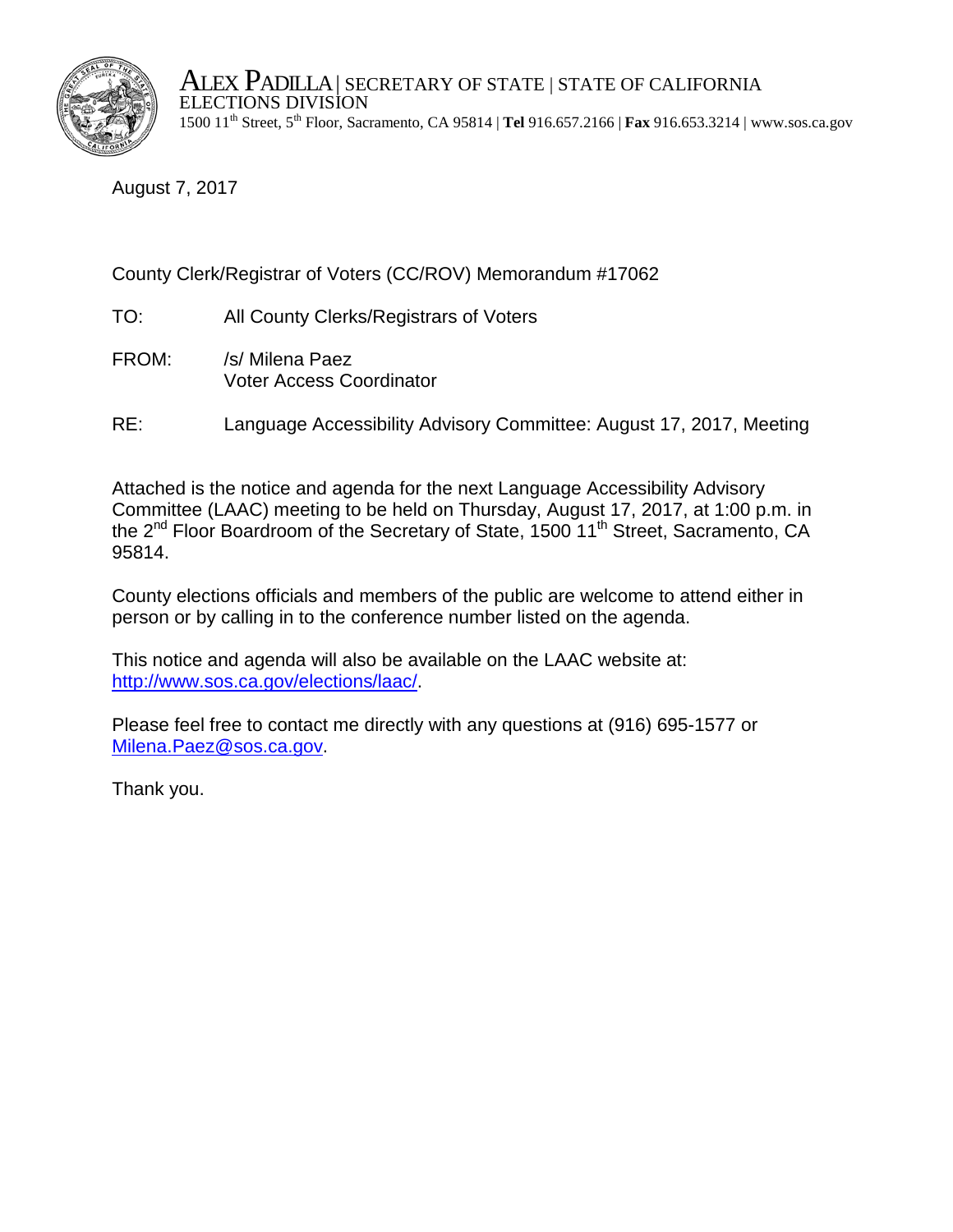

ALEX PADILLA | SECRETARY OF STATE | STATE OF CALIFORNIA<br>ELECTIONS DIVISION 1500 11th Street, 5th Floor, Sacramento, CA 95814 | **Tel** 916.657.2166 | **Fax** 916.653.3214 | www.sos.ca.gov

August 7, 2017

## County Clerk/Registrar of Voters (CC/ROV) Memorandum #17062

- TO: All County Clerks/Registrars of Voters
- FROM: /s/ Milena Paez Voter Access Coordinator
- RE: Language Accessibility Advisory Committee: August 17, 2017, Meeting

Attached is the notice and agenda for the next Language Accessibility Advisory Committee (LAAC) meeting to be held on Thursday, August 17, 2017, at 1:00 p.m. in the 2<sup>nd</sup> Floor Boardroom of the Secretary of State, 1500 11<sup>th</sup> Street, Sacramento, CA 95814.

County elections officials and members of the public are welcome to attend either in person or by calling in to the conference number listed on the agenda.

This notice and agenda will also be available on the LAAC website at: [http://www.sos.ca.gov/elections/laac/.](http://www.sos.ca.gov/elections/laac/)

Please feel free to contact me directly with any questions at (916) 695-1577 or [Milena.Paez@sos.ca.gov.](mailto:Milena.Paez@sos.ca.gov)

Thank you.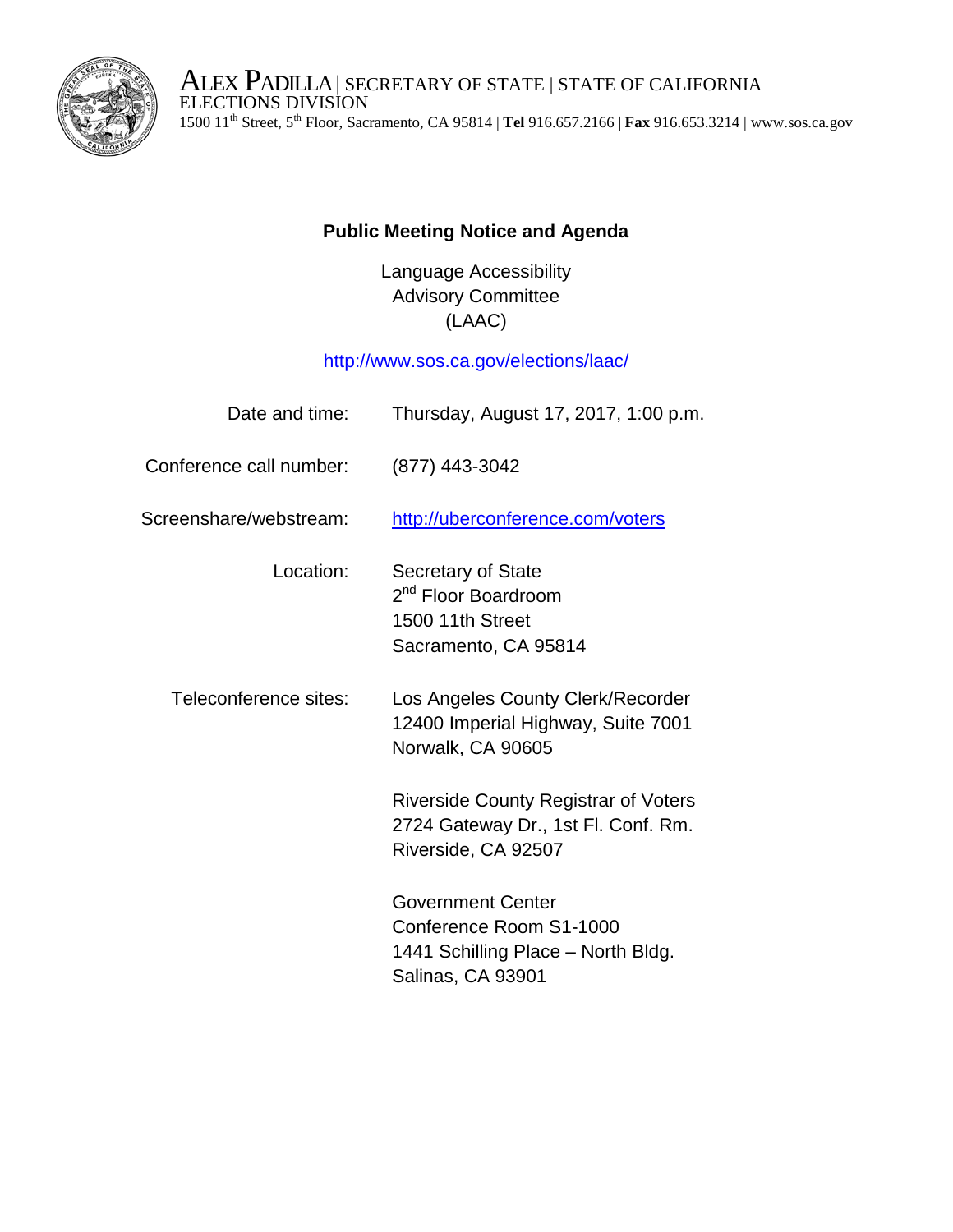

ALEX PADILLA | SECRETARY OF STATE | STATE OF CALIFORNIA<br>ELECTIONS DIVISION 1500 11th Street, 5th Floor, Sacramento, CA 95814 | **Tel** 916.657.2166 | **Fax** 916.653.3214 | www.sos.ca.gov

## **Public Meeting Notice and Agenda**

Language Accessibility Advisory Committee (LAAC)

<http://www.sos.ca.gov/elections/laac/>

| Date and time:          | Thursday, August 17, 2017, 1:00 p.m.                                                                           |
|-------------------------|----------------------------------------------------------------------------------------------------------------|
| Conference call number: | (877) 443-3042                                                                                                 |
| Screenshare/webstream:  | http://uberconference.com/voters                                                                               |
| Location:               | Secretary of State<br>2 <sup>nd</sup> Floor Boardroom<br>1500 11th Street<br>Sacramento, CA 95814              |
| Teleconference sites:   | Los Angeles County Clerk/Recorder<br>12400 Imperial Highway, Suite 7001<br>Norwalk, CA 90605                   |
|                         | <b>Riverside County Registrar of Voters</b><br>2724 Gateway Dr., 1st Fl. Conf. Rm.<br>Riverside, CA 92507      |
|                         | <b>Government Center</b><br>Conference Room S1-1000<br>1441 Schilling Place - North Bldg.<br>Salinas, CA 93901 |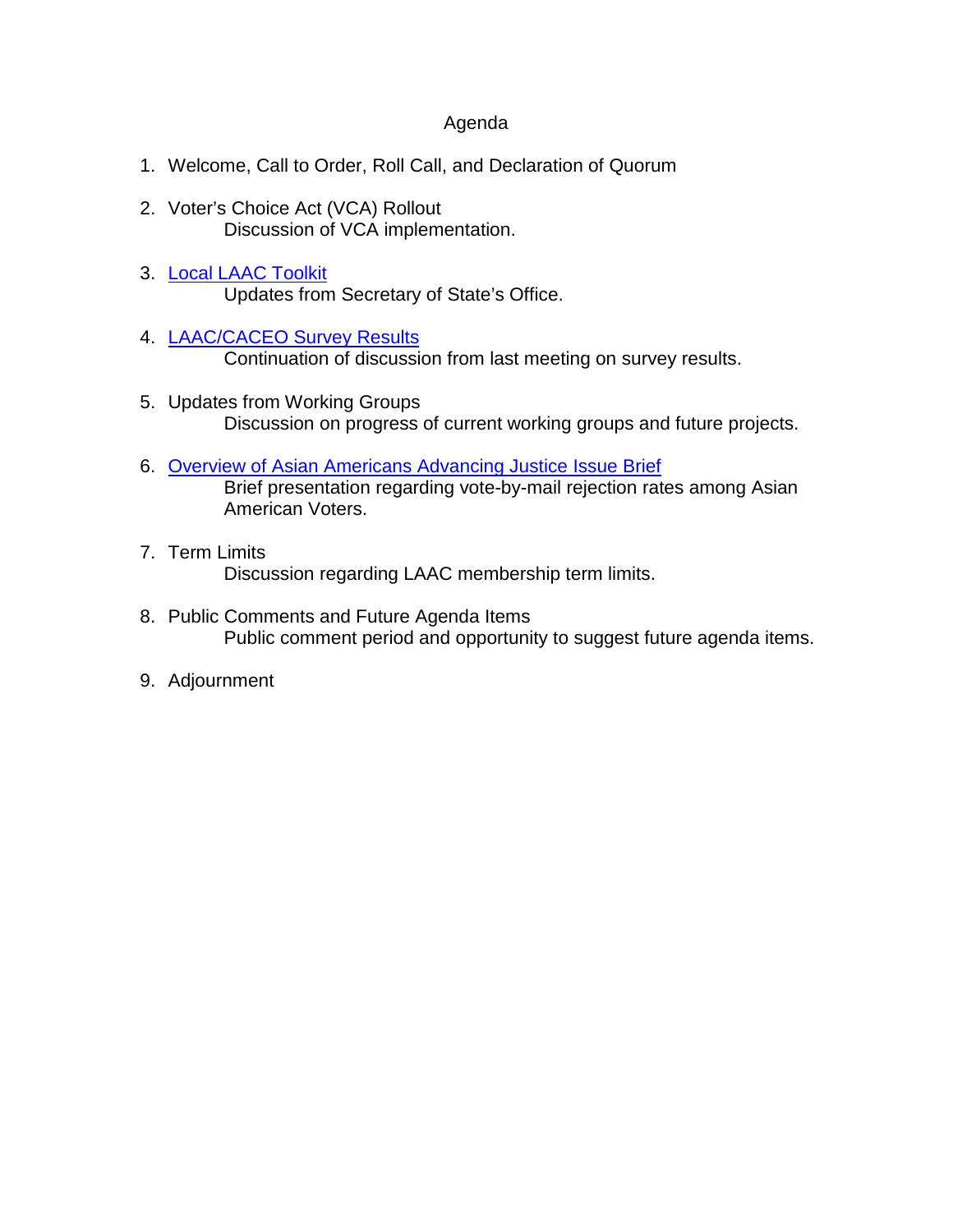## Agenda

- 1. Welcome, Call to Order, Roll Call, and Declaration of Quorum
- 2. Voter's Choice Act (VCA) Rollout Discussion of VCA implementation.
- 3. [Local LAAC Toolkit](http://elections.cdn.sos.ca.gov/ccrov/pdf/2017/june/17050ji.pdf) Updates from Secretary of State's Office.
- 4. [LAAC/CACEO Survey Results](http://elections.cdn.sos.ca.gov/ccrov/pdf/2017/june/17050ji.pdf)  Continuation of discussion from last meeting on survey results.
- 5. Updates from Working Groups Discussion on progress of current working groups and future projects.
- 6. [Overview of Asian Americans Advancing Justice Issue Brief](https://www.advancingjustice-la.org/sites/default/files/issuebrief-vbm-FINAL.pdf)  Brief presentation regarding vote-by-mail rejection rates among Asian American Voters.
- 7. Term Limits Discussion regarding LAAC membership term limits.
- 8. Public Comments and Future Agenda Items Public comment period and opportunity to suggest future agenda items.
- 9. Adjournment